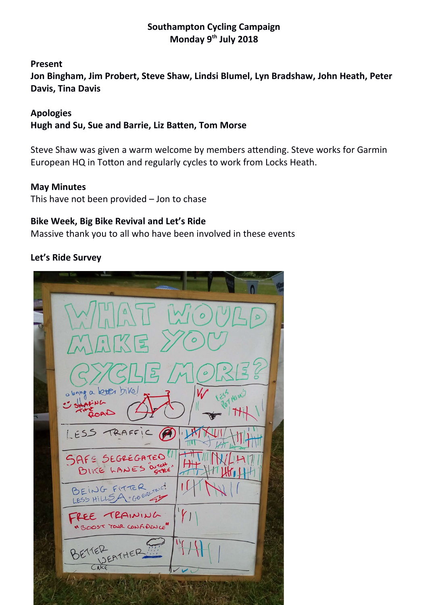## **Southampton Cycling Campaign Monday 9th July 2018**

**Present Jon Bingham, Jim Probert, Steve Shaw, Lindsi Blumel, Lyn Bradshaw, John Heath, Peter Davis, Tina Davis**

**Apologies Hugh and Su, Sue and Barrie, Liz Baten, Tom Morse**

Steve Shaw was given a warm welcome by members atending. Steve works for Garmin European HQ in Totton and regularly cycles to work from Locks Heath.

#### **May Minutes**

This have not been provided – Jon to chase

#### **Bike Week, Big Bike Revival and Let's Ride**

Massive thank you to all who have been involved in these events

#### **Let's Ride Survey**

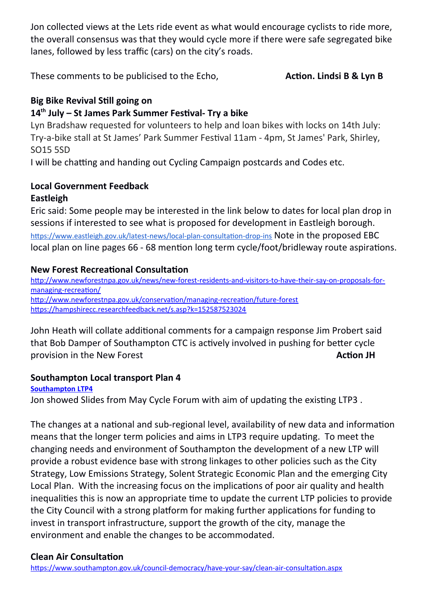Jon collected views at the Lets ride event as what would encourage cyclists to ride more, the overall consensus was that they would cycle more if there were safe segregated bike lanes, followed by less traffic (cars) on the city's roads.

These comments to be publicised to the Echo, **Action. Lindsi B & Lyn B** 

# **Big Bike Revival Still going on**

# **14th July – St James Park Summer Festvall Try a bike**

Lyn Bradshaw requested for volunteers to help and loan bikes with locks on 14th July: Try-a-bike stall at St James' Park Summer Festval 11am - 4pm, St James' Park, Shirley, SO15 5SD

I will be chatting and handing out Cycling Campaign postcards and Codes etc.

#### **Local Government Feedback Eastleigh**

# Eric said: Some people may be interested in the link below to dates for local plan drop in sessions if interested to see what is proposed for development in Eastleigh borough. https://www.eastleigh.gov.uk/latest-news/local-plan-consultation-drop-ins Note in the proposed EBC local plan on line pages 66 - 68 mention long term cycle/foot/bridleway route aspirations.

# **New Forest Recreatonal Consultaton**

[htp://www.newforestnpa.gov.uk/news/new-forest-residents-and-visitors-to-have-their-say-on-proposals-for](http://www.newforestnpa.gov.uk/news/new-forest-residents-and-visitors-to-have-their-say-on-proposals-for-managing-recreation/)[managing-recreaton/](http://www.newforestnpa.gov.uk/news/new-forest-residents-and-visitors-to-have-their-say-on-proposals-for-managing-recreation/) [htp://www.newforestnpa.gov.uk/conservaton/managing-recreaton/future-forest](http://www.newforestnpa.gov.uk/conservation/managing-recreation/future-forest) https://hampshirecc.researchfeedback.net/s.asp?k=152587523024

John Heath will collate additonal comments for a campaign response Jim Probert said that Bob Damper of Southampton CTC is actvely involved in pushing for beter cycle provision in the New Forest **Action JH Action JH** 

# **Southampton Local transport Plan 4**

## **[Southampton LTP4](file:///D:/Jonathan%20Bingham/Documents/001%20Southampton%20Cycling/Active%20Projects/Local%20Transport%20Plan%202018/Slides%20for%20Cycle%20Forum%20May%202018.pdf)**

Jon showed Slides from May Cycle Forum with aim of updating the existing LTP3.

The changes at a natonal and sub-regional level, availability of new data and informaton means that the longer term policies and aims in LTP3 require updating. To meet the changing needs and environment of Southampton the development of a new LTP will provide a robust evidence base with strong linkages to other policies such as the City Strategy, Low Emissions Strategy, Solent Strategic Economic Plan and the emerging City Local Plan. With the increasing focus on the implications of poor air quality and health inequalites this is now an appropriate tme to update the current LTP policies to provide the City Council with a strong platform for making further applications for funding to invest in transport infrastructure, support the growth of the city, manage the environment and enable the changes to be accommodated.

## **Clean Air Consultation**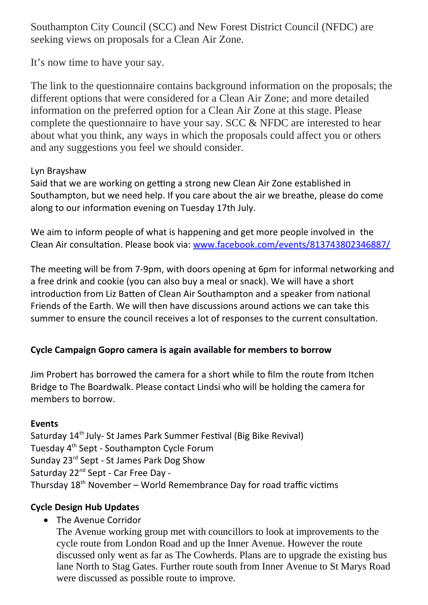Southampton City Council (SCC) and New Forest District Council (NFDC) are seeking views on proposals for a Clean Air Zone.

It's now time to have your say.

The link to the questionnaire contains background information on the proposals; the different options that were considered for a Clean Air Zone; and more detailed information on the preferred option for a Clean Air Zone at this stage. Please complete the questionnaire to have your say. SCC & NFDC are interested to hear about what you think, any ways in which the proposals could affect you or others and any suggestions you feel we should consider.

## Lyn Brayshaw

Said that we are working on getting a strong new Clean Air Zone established in Southampton, but we need help. If you care about the air we breathe, please do come along to our information evening on Tuesday 17th July.

We aim to inform people of what is happening and get more people involved in the Clean Air consultation. Please book via: www.facebook.com/events/813743802346887/

The meeting will be from 7-9pm, with doors opening at 6pm for informal networking and a free drink and cookie (you can also buy a meal or snack). We will have a short introduction from Liz Batten of Clean Air Southampton and a speaker from national Friends of the Earth. We will then have discussions around actions we can take this summer to ensure the council receives a lot of responses to the current consultaton.

# **Cycle Campaign Gopro camera is again available for members to borrow**

Jim Probert has borrowed the camera for a short while to flm the route from Itchen Bridge to The Boardwalk. Please contact Lindsi who will be holding the camera for members to borrow.

## **Events**

Saturday 14<sup>th</sup> July- St James Park Summer Festival (Big Bike Revival) Tuesday 4th Sept - Southampton Cycle Forum Sunday 23<sup>rd</sup> Sept - St James Park Dog Show Saturday 22<sup>nd</sup> Sept - Car Free Day -Thursday  $18<sup>th</sup>$  November – World Remembrance Day for road traffic victims

# **Cycle Design Hub Updates**

• The Avenue Corridor

The Avenue working group met with councillors to look at improvements to the cycle route from London Road and up the Inner Avenue. However the route discussed only went as far as The Cowherds. Plans are to upgrade the existing bus lane North to Stag Gates. Further route south from Inner Avenue to St Marys Road were discussed as possible route to improve.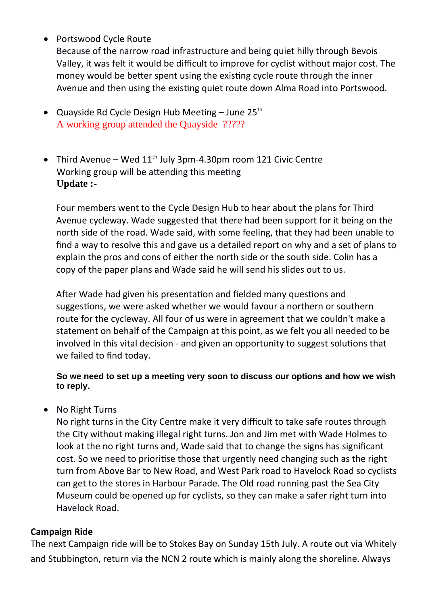Portswood Cycle Route

Because of the narrow road infrastructure and being quiet hilly through Bevois Valley, it was felt it would be difficult to improve for cyclist without major cost. The money would be better spent using the existing cycle route through the inner Avenue and then using the existng quiet route down Alma Road into Portswood.

- Quayside Rd Cycle Design Hub Meeting June  $25<sup>th</sup>$ A working group attended the Quayside ?????
- Third Avenue Wed  $11^{th}$  July 3pm-4.30pm room 121 Civic Centre Working group will be attending this meeting **Update :-**

Four members went to the Cycle Design Hub to hear about the plans for Third Avenue cycleway. Wade suggested that there had been support for it being on the north side of the road. Wade said, with some feeling, that they had been unable to fnd a way to resolve this and gave us a detailed report on why and a set of plans to explain the pros and cons of either the north side or the south side. Colin has a copy of the paper plans and Wade said he will send his slides out to us.

After Wade had given his presentation and fielded many questions and suggestions, we were asked whether we would favour a northern or southern route for the cycleway. All four of us were in agreement that we couldn't make a statement on behalf of the Campaign at this point, as we felt you all needed to be involved in this vital decision - and given an opportunity to suggest solutions that we failed to find today.

#### **So we need to set up a meeting very soon to discuss our options and how we wish to reply.**

• No Right Turns

No right turns in the City Centre make it very difficult to take safe routes through the City without making illegal right turns. Jon and Jim met with Wade Holmes to look at the no right turns and, Wade said that to change the signs has signifcant cost. So we need to prioritse those that urgently need changing such as the right turn from Above Bar to New Road, and West Park road to Havelock Road so cyclists can get to the stores in Harbour Parade. The Old road running past the Sea City Museum could be opened up for cyclists, so they can make a safer right turn into Havelock Road.

## **Campaign Ride**

The next Campaign ride will be to Stokes Bay on Sunday 15th July. A route out via Whitely and Stubbington, return via the NCN 2 route which is mainly along the shoreline. Always